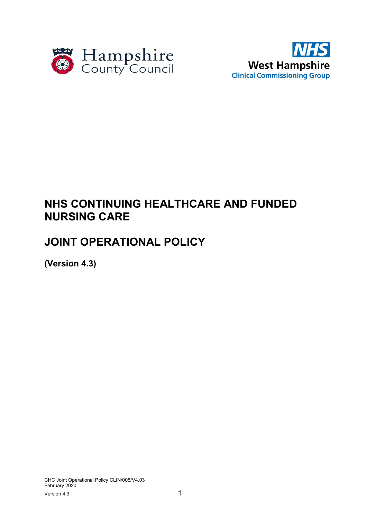



# **NHS CONTINUING HEALTHCARE AND FUNDED NURSING CARE**

# **JOINT OPERATIONAL POLICY**

**(Version 4.3)**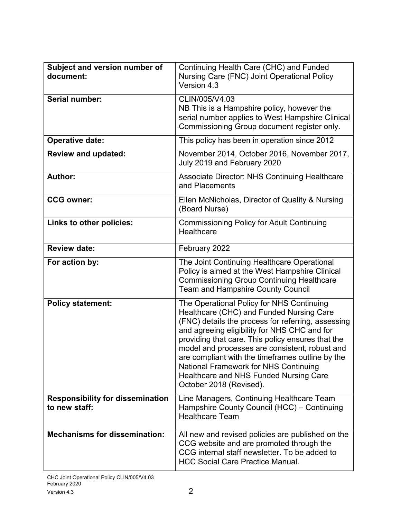| Subject and version number of<br>document:               | Continuing Health Care (CHC) and Funded<br>Nursing Care (FNC) Joint Operational Policy<br>Version 4.3                                                                                                                                                                                                                                                                                                                                                                       |
|----------------------------------------------------------|-----------------------------------------------------------------------------------------------------------------------------------------------------------------------------------------------------------------------------------------------------------------------------------------------------------------------------------------------------------------------------------------------------------------------------------------------------------------------------|
| Serial number:                                           | CLIN/005/V4.03<br>NB This is a Hampshire policy, however the<br>serial number applies to West Hampshire Clinical<br>Commissioning Group document register only.                                                                                                                                                                                                                                                                                                             |
| <b>Operative date:</b>                                   | This policy has been in operation since 2012                                                                                                                                                                                                                                                                                                                                                                                                                                |
| <b>Review and updated:</b>                               | November 2014, October 2016, November 2017,<br>July 2019 and February 2020                                                                                                                                                                                                                                                                                                                                                                                                  |
| <b>Author:</b>                                           | <b>Associate Director: NHS Continuing Healthcare</b><br>and Placements                                                                                                                                                                                                                                                                                                                                                                                                      |
| <b>CCG owner:</b>                                        | Ellen McNicholas, Director of Quality & Nursing<br>(Board Nurse)                                                                                                                                                                                                                                                                                                                                                                                                            |
| Links to other policies:                                 | <b>Commissioning Policy for Adult Continuing</b><br>Healthcare                                                                                                                                                                                                                                                                                                                                                                                                              |
| <b>Review date:</b>                                      | February 2022                                                                                                                                                                                                                                                                                                                                                                                                                                                               |
| For action by:                                           | The Joint Continuing Healthcare Operational<br>Policy is aimed at the West Hampshire Clinical<br><b>Commissioning Group Continuing Healthcare</b><br><b>Team and Hampshire County Council</b>                                                                                                                                                                                                                                                                               |
| <b>Policy statement:</b>                                 | The Operational Policy for NHS Continuing<br>Healthcare (CHC) and Funded Nursing Care<br>(FNC) details the process for referring, assessing<br>and agreeing eligibility for NHS CHC and for<br>providing that care. This policy ensures that the<br>model and processes are consistent, robust and<br>are compliant with the timeframes outline by the<br><b>National Framework for NHS Continuing</b><br>Healthcare and NHS Funded Nursing Care<br>October 2018 (Revised). |
| <b>Responsibility for dissemination</b><br>to new staff: | Line Managers, Continuing Healthcare Team<br>Hampshire County Council (HCC) - Continuing<br><b>Healthcare Team</b>                                                                                                                                                                                                                                                                                                                                                          |
| <b>Mechanisms for dissemination:</b>                     | All new and revised policies are published on the<br>CCG website and are promoted through the<br>CCG internal staff newsletter. To be added to<br><b>HCC Social Care Practice Manual.</b>                                                                                                                                                                                                                                                                                   |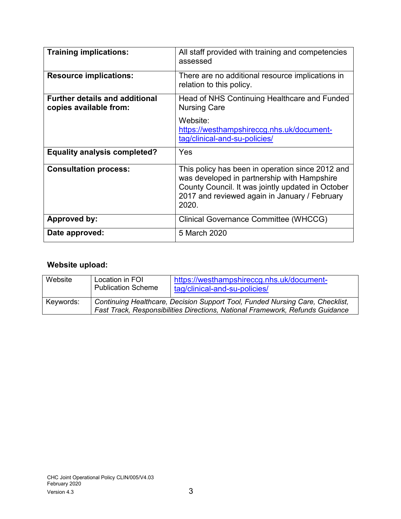| <b>Training implications:</b>                                   | All staff provided with training and competencies<br>assessed                                                                                                                                                  |
|-----------------------------------------------------------------|----------------------------------------------------------------------------------------------------------------------------------------------------------------------------------------------------------------|
| <b>Resource implications:</b>                                   | There are no additional resource implications in<br>relation to this policy.                                                                                                                                   |
| <b>Further details and additional</b><br>copies available from: | Head of NHS Continuing Healthcare and Funded<br><b>Nursing Care</b>                                                                                                                                            |
|                                                                 | Website:<br>https://westhampshireccg.nhs.uk/document-<br>tag/clinical-and-su-policies/                                                                                                                         |
| <b>Equality analysis completed?</b>                             | Yes                                                                                                                                                                                                            |
| <b>Consultation process:</b>                                    | This policy has been in operation since 2012 and<br>was developed in partnership with Hampshire<br>County Council. It was jointly updated in October<br>2017 and reviewed again in January / February<br>2020. |
| Approved by:                                                    | <b>Clinical Governance Committee (WHCCG)</b>                                                                                                                                                                   |
| Date approved:                                                  | 5 March 2020                                                                                                                                                                                                   |

### **Website upload:**

| Website   | Location in FOI<br><b>Publication Scheme</b>                                                                                                                   | https://westhampshireccg.nhs.uk/document-<br>tag/clinical-and-su-policies/ |
|-----------|----------------------------------------------------------------------------------------------------------------------------------------------------------------|----------------------------------------------------------------------------|
| Keywords: | Continuing Healthcare, Decision Support Tool, Funded Nursing Care, Checklist,<br>Fast Track, Responsibilities Directions, National Framework, Refunds Guidance |                                                                            |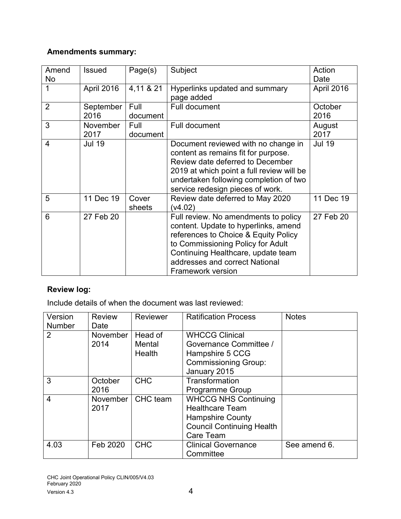### **Amendments summary:**

| Amend<br>No    | <b>Issued</b>     | Page(s)          | Subject                                                                                                                                                                                                                                                       | Action<br>Date  |
|----------------|-------------------|------------------|---------------------------------------------------------------------------------------------------------------------------------------------------------------------------------------------------------------------------------------------------------------|-----------------|
| 1              | April 2016        | 4,11 & 21        | Hyperlinks updated and summary<br>page added                                                                                                                                                                                                                  | April 2016      |
| $\overline{2}$ | September<br>2016 | Full<br>document | <b>Full document</b>                                                                                                                                                                                                                                          | October<br>2016 |
| 3              | November<br>2017  | Full<br>document | <b>Full document</b>                                                                                                                                                                                                                                          | August<br>2017  |
| $\overline{4}$ | <b>Jul 19</b>     |                  | Document reviewed with no change in<br>content as remains fit for purpose.<br>Review date deferred to December<br>2019 at which point a full review will be<br>undertaken following completion of two<br>service redesign pieces of work.                     | <b>Jul 19</b>   |
| 5              | 11 Dec 19         | Cover<br>sheets  | Review date deferred to May 2020<br>(v4.02)                                                                                                                                                                                                                   | 11 Dec 19       |
| 6              | 27 Feb 20         |                  | Full review. No amendments to policy<br>content. Update to hyperlinks, amend<br>references to Choice & Equity Policy<br>to Commissioning Policy for Adult<br>Continuing Healthcare, update team<br>addresses and correct National<br><b>Framework version</b> | 27 Feb 20       |

### **Review log:**

Include details of when the document was last reviewed:

| Version        | <b>Review</b> | Reviewer   | <b>Ratification Process</b>      | <b>Notes</b> |
|----------------|---------------|------------|----------------------------------|--------------|
| <b>Number</b>  | Date          |            |                                  |              |
| 2              | November      | Head of    | <b>WHCCG Clinical</b>            |              |
|                | 2014          | Mental     | Governance Committee /           |              |
|                |               | Health     | Hampshire 5 CCG                  |              |
|                |               |            | <b>Commissioning Group:</b>      |              |
|                |               |            | January 2015                     |              |
| 3              | October       | <b>CHC</b> | Transformation                   |              |
|                | 2016          |            | <b>Programme Group</b>           |              |
| $\overline{4}$ | November      | CHC team   | <b>WHCCG NHS Continuing</b>      |              |
|                | 2017          |            | <b>Healthcare Team</b>           |              |
|                |               |            | <b>Hampshire County</b>          |              |
|                |               |            | <b>Council Continuing Health</b> |              |
|                |               |            | Care Team                        |              |
| 4.03           | Feb 2020      | <b>CHC</b> | <b>Clinical Governance</b>       | See amend 6. |
|                |               |            | Committee                        |              |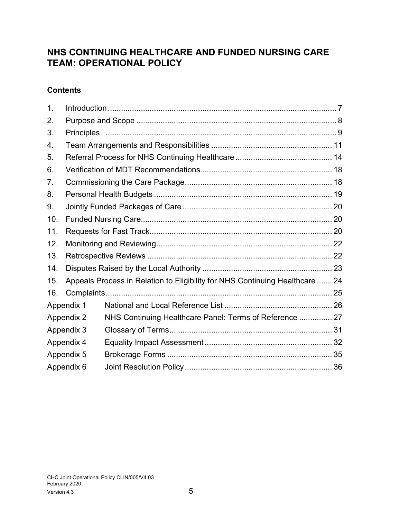## **NHS CONTINUING HEALTHCARE AND FUNDED NURSING CARE TEAM: OPERATIONAL POLICY**

### **Contents**

| $\mathbf 1$ .                                                                |                                                                              |  |  |
|------------------------------------------------------------------------------|------------------------------------------------------------------------------|--|--|
| 2.                                                                           |                                                                              |  |  |
| 3.                                                                           |                                                                              |  |  |
| 4.                                                                           |                                                                              |  |  |
| 5.                                                                           |                                                                              |  |  |
| 6.                                                                           |                                                                              |  |  |
| 7.                                                                           |                                                                              |  |  |
| 8.                                                                           |                                                                              |  |  |
| 9.                                                                           |                                                                              |  |  |
| 10.                                                                          |                                                                              |  |  |
| 11.                                                                          |                                                                              |  |  |
| 12.                                                                          |                                                                              |  |  |
| 13.                                                                          |                                                                              |  |  |
| 14.                                                                          |                                                                              |  |  |
| 15.                                                                          | Appeals Process in Relation to Eligibility for NHS Continuing Healthcare  24 |  |  |
| 16.                                                                          |                                                                              |  |  |
|                                                                              | Appendix 1                                                                   |  |  |
| NHS Continuing Healthcare Panel: Terms of Reference  27<br><b>Appendix 2</b> |                                                                              |  |  |
| Appendix 3                                                                   |                                                                              |  |  |
| Appendix 4                                                                   |                                                                              |  |  |
|                                                                              | Appendix 5                                                                   |  |  |
|                                                                              | Appendix 6                                                                   |  |  |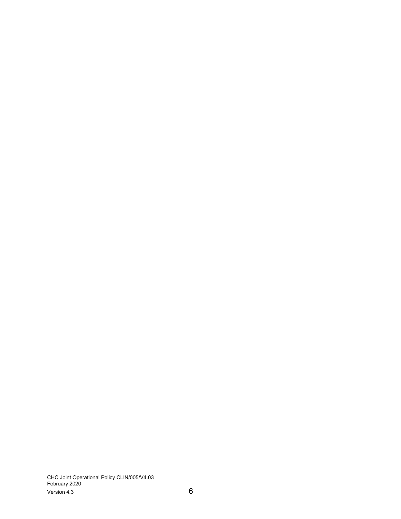6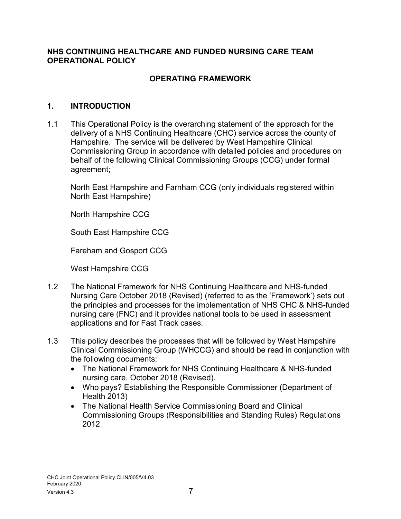#### **NHS CONTINUING HEALTHCARE AND FUNDED NURSING CARE TEAM OPERATIONAL POLICY**

### **OPERATING FRAMEWORK**

#### <span id="page-6-0"></span>**1. INTRODUCTION**

1.1 This Operational Policy is the overarching statement of the approach for the delivery of a NHS Continuing Healthcare (CHC) service across the county of Hampshire. The service will be delivered by West Hampshire Clinical Commissioning Group in accordance with detailed policies and procedures on behalf of the following Clinical Commissioning Groups (CCG) under formal agreement;

North East Hampshire and Farnham CCG (only individuals registered within North East Hampshire)

North Hampshire CCG

South East Hampshire CCG

Fareham and Gosport CCG

West Hampshire CCG

- 1.2 The National Framework for NHS Continuing Healthcare and NHS-funded Nursing Care October 2018 (Revised) (referred to as the 'Framework') sets out the principles and processes for the implementation of NHS CHC & NHS-funded nursing care (FNC) and it provides national tools to be used in assessment applications and for Fast Track cases.
- 1.3 This policy describes the processes that will be followed by West Hampshire Clinical Commissioning Group (WHCCG) and should be read in conjunction with the following documents:
	- The National Framework for NHS Continuing Healthcare & NHS-funded nursing care, October 2018 (Revised).
	- Who pays? Establishing the Responsible Commissioner (Department of Health 2013)
	- The National Health Service Commissioning Board and Clinical Commissioning Groups (Responsibilities and Standing Rules) Regulations 2012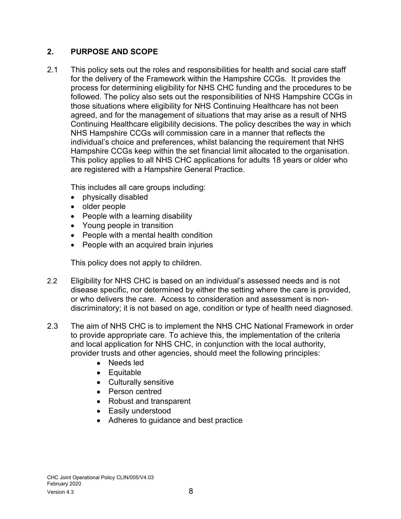### <span id="page-7-0"></span>**2. PURPOSE AND SCOPE**

2.1 This policy sets out the roles and responsibilities for health and social care staff for the delivery of the Framework within the Hampshire CCGs. It provides the process for determining eligibility for NHS CHC funding and the procedures to be followed. The policy also sets out the responsibilities of NHS Hampshire CCGs in those situations where eligibility for NHS Continuing Healthcare has not been agreed, and for the management of situations that may arise as a result of NHS Continuing Healthcare eligibility decisions. The policy describes the way in which NHS Hampshire CCGs will commission care in a manner that reflects the individual's choice and preferences, whilst balancing the requirement that NHS Hampshire CCGs keep within the set financial limit allocated to the organisation. This policy applies to all NHS CHC applications for adults 18 years or older who are registered with a Hampshire General Practice.

This includes all care groups including:

- physically disabled
- older people
- People with a learning disability
- Young people in transition
- People with a mental health condition
- People with an acquired brain injuries

This policy does not apply to children.

- 2.2 Eligibility for NHS CHC is based on an individual's assessed needs and is not disease specific, nor determined by either the setting where the care is provided, or who delivers the care. Access to consideration and assessment is nondiscriminatory; it is not based on age, condition or type of health need diagnosed.
- 2.3 The aim of NHS CHC is to implement the NHS CHC National Framework in order to provide appropriate care. To achieve this, the implementation of the criteria and local application for NHS CHC, in conjunction with the local authority, provider trusts and other agencies, should meet the following principles:
	- Needs led
	- Equitable
	- Culturally sensitive
	- Person centred
	- Robust and transparent
	- Easily understood
	- Adheres to guidance and best practice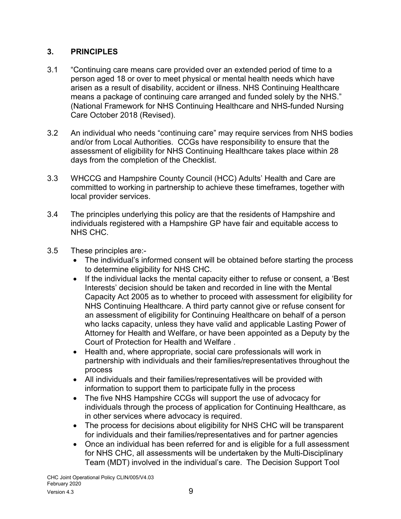### <span id="page-8-0"></span>**3. PRINCIPLES**

- 3.1 "Continuing care means care provided over an extended period of time to a person aged 18 or over to meet physical or mental health needs which have arisen as a result of disability, accident or illness. NHS Continuing Healthcare means a package of continuing care arranged and funded solely by the NHS." (National Framework for NHS Continuing Healthcare and NHS-funded Nursing Care October 2018 (Revised).
- 3.2 An individual who needs "continuing care" may require services from NHS bodies and/or from Local Authorities. CCGs have responsibility to ensure that the assessment of eligibility for NHS Continuing Healthcare takes place within 28 days from the completion of the Checklist.
- 3.3 WHCCG and Hampshire County Council (HCC) Adults' Health and Care are committed to working in partnership to achieve these timeframes, together with local provider services.
- 3.4 The principles underlying this policy are that the residents of Hampshire and individuals registered with a Hampshire GP have fair and equitable access to NHS CHC.
- 3.5 These principles are:-
	- The individual's informed consent will be obtained before starting the process to determine eligibility for NHS CHC.
	- If the individual lacks the mental capacity either to refuse or consent, a 'Best Interests' decision should be taken and recorded in line with the Mental Capacity Act 2005 as to whether to proceed with assessment for eligibility for NHS Continuing Healthcare. A third party cannot give or refuse consent for an assessment of eligibility for Continuing Healthcare on behalf of a person who lacks capacity, unless they have valid and applicable Lasting Power of Attorney for Health and Welfare, or have been appointed as a Deputy by the Court of Protection for Health and Welfare .
	- Health and, where appropriate, social care professionals will work in partnership with individuals and their families/representatives throughout the process
	- All individuals and their families/representatives will be provided with information to support them to participate fully in the process
	- The five NHS Hampshire CCGs will support the use of advocacy for individuals through the process of application for Continuing Healthcare, as in other services where advocacy is required.
	- The process for decisions about eligibility for NHS CHC will be transparent for individuals and their families/representatives and for partner agencies
	- Once an individual has been referred for and is eligible for a full assessment for NHS CHC, all assessments will be undertaken by the Multi-Disciplinary Team (MDT) involved in the individual's care. The Decision Support Tool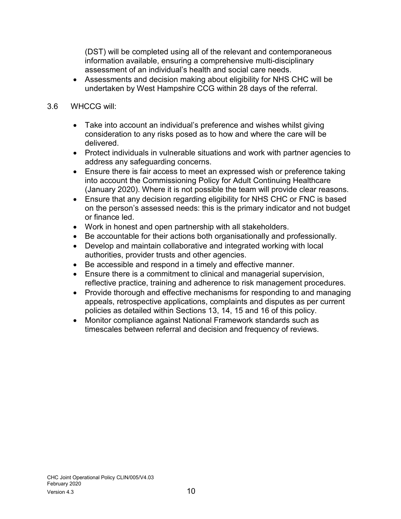(DST) will be completed using all of the relevant and contemporaneous information available, ensuring a comprehensive multi-disciplinary assessment of an individual's health and social care needs.

• Assessments and decision making about eligibility for NHS CHC will be undertaken by West Hampshire CCG within 28 days of the referral.

#### 3.6 WHCCG will:

- Take into account an individual's preference and wishes whilst giving consideration to any risks posed as to how and where the care will be delivered.
- Protect individuals in vulnerable situations and work with partner agencies to address any safeguarding concerns.
- Ensure there is fair access to meet an expressed wish or preference taking into account the Commissioning Policy for Adult Continuing Healthcare (January 2020). Where it is not possible the team will provide clear reasons.
- Ensure that any decision regarding eligibility for NHS CHC or FNC is based on the person's assessed needs: this is the primary indicator and not budget or finance led.
- Work in honest and open partnership with all stakeholders.
- Be accountable for their actions both organisationally and professionally.
- Develop and maintain collaborative and integrated working with local authorities, provider trusts and other agencies.
- Be accessible and respond in a timely and effective manner.
- Ensure there is a commitment to clinical and managerial supervision, reflective practice, training and adherence to risk management procedures.
- Provide thorough and effective mechanisms for responding to and managing appeals, retrospective applications, complaints and disputes as per current policies as detailed within Sections 13, 14, 15 and 16 of this policy.
- Monitor compliance against National Framework standards such as timescales between referral and decision and frequency of reviews.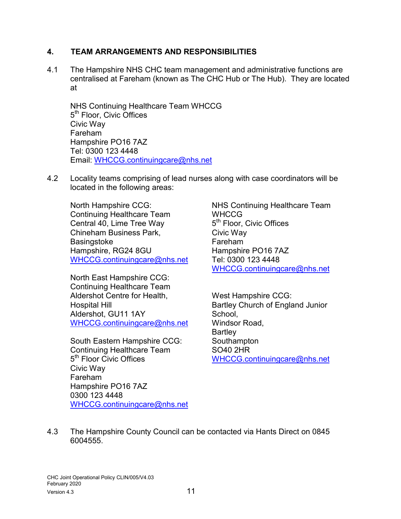#### <span id="page-10-0"></span>**4. TEAM ARRANGEMENTS AND RESPONSIBILITIES**

4.1 The Hampshire NHS CHC team management and administrative functions are centralised at Fareham (known as The CHC Hub or The Hub). They are located at

NHS Continuing Healthcare Team WHCCG 5<sup>th</sup> Floor, Civic Offices Civic Way Fareham Hampshire PO16 7AZ Tel: 0300 123 4448 Email: [WHCCG.continuingcare@nhs.net](mailto:WHCCG.continuingcare@nhs.net)

4.2 Locality teams comprising of lead nurses along with case coordinators will be located in the following areas:

North Hampshire CCG: Continuing Healthcare Team Central 40, Lime Tree Way Chineham Business Park, **Basingstoke** Hampshire, RG24 8GU [WHCCG.continuingcare@nhs.net](file://INFLDAR001/HCC_HomeDrives/ssaa02su/Personal/WHCCG.continuingcare@nhs.net)

North East Hampshire CCG: Continuing Healthcare Team Aldershot Centre for Health, Hospital Hill Aldershot, GU11 1AY [WHCCG.continuingcare@nhs.net](file://INFLDAR001/HCC_HomeDrives/ssaa02su/Personal/WHCCG.continuingcare@nhs.net)

South Eastern Hampshire CCG: Continuing Healthcare Team 5<sup>th</sup> Floor Civic Offices Civic Way Fareham Hampshire PO16 7AZ 0300 123 4448 [WHCCG.continuingcare@nhs.net](file://INFLDAR001/HCC_HomeDrives/ssaa02su/Personal/WHCCG.continuingcare@nhs.net) NHS Continuing Healthcare Team **WHCCG** 5<sup>th</sup> Floor, Civic Offices Civic Way Fareham Hampshire PO16 7AZ Tel: 0300 123 4448 [WHCCG.continuingcare@nhs.net](mailto:WHCCG.continuingcare@nhs.net)

West Hampshire CCG: Bartley Church of England Junior School, Windsor Road, **Bartley** Southampton SO40 2HR [WHCCG.continuingcare@nhs.net](file://INFLDAR001/HCC_HomeDrives/ssaa02su/Personal/WHCCG.continuingcare@nhs.net)

4.3 The Hampshire County Council can be contacted via Hants Direct on 0845 6004555.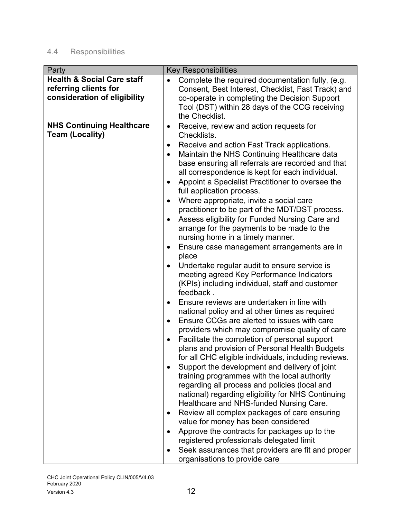### 4.4 Responsibilities

| Party<br><b>Key Responsibilities</b>                                                                                                                                                                                                                                                                                                                                                                                                                                                                                                                                                                                                                                                                                                                                                                                                                                                                                                                                                                                                                                                                                                                                                                                                                                                                                                                                                                                                                                                                                                                                                                                                                                                                                                                                                                                                                                    |  |
|-------------------------------------------------------------------------------------------------------------------------------------------------------------------------------------------------------------------------------------------------------------------------------------------------------------------------------------------------------------------------------------------------------------------------------------------------------------------------------------------------------------------------------------------------------------------------------------------------------------------------------------------------------------------------------------------------------------------------------------------------------------------------------------------------------------------------------------------------------------------------------------------------------------------------------------------------------------------------------------------------------------------------------------------------------------------------------------------------------------------------------------------------------------------------------------------------------------------------------------------------------------------------------------------------------------------------------------------------------------------------------------------------------------------------------------------------------------------------------------------------------------------------------------------------------------------------------------------------------------------------------------------------------------------------------------------------------------------------------------------------------------------------------------------------------------------------------------------------------------------------|--|
| <b>Health &amp; Social Care staff</b><br>Complete the required documentation fully, (e.g.<br>$\bullet$<br>referring clients for<br>Consent, Best Interest, Checklist, Fast Track) and<br>consideration of eligibility<br>co-operate in completing the Decision Support<br>Tool (DST) within 28 days of the CCG receiving<br>the Checklist.                                                                                                                                                                                                                                                                                                                                                                                                                                                                                                                                                                                                                                                                                                                                                                                                                                                                                                                                                                                                                                                                                                                                                                                                                                                                                                                                                                                                                                                                                                                              |  |
| <b>NHS Continuing Healthcare</b><br>Receive, review and action requests for<br>$\bullet$<br><b>Team (Locality)</b><br>Checklists.<br>Receive and action Fast Track applications.<br>$\bullet$<br>Maintain the NHS Continuing Healthcare data<br>$\bullet$<br>base ensuring all referrals are recorded and that<br>all correspondence is kept for each individual.<br>Appoint a Specialist Practitioner to oversee the<br>$\bullet$<br>full application process.<br>Where appropriate, invite a social care<br>practitioner to be part of the MDT/DST process.<br>Assess eligibility for Funded Nursing Care and<br>$\bullet$<br>arrange for the payments to be made to the<br>nursing home in a timely manner.<br>Ensure case management arrangements are in<br>$\bullet$<br>place<br>Undertake regular audit to ensure service is<br>$\bullet$<br>meeting agreed Key Performance Indicators<br>(KPIs) including individual, staff and customer<br>feedback.<br>Ensure reviews are undertaken in line with<br>$\bullet$<br>national policy and at other times as required<br>Ensure CCGs are alerted to issues with care<br>$\bullet$<br>providers which may compromise quality of care<br>Facilitate the completion of personal support<br>$\bullet$<br>plans and provision of Personal Health Budgets<br>for all CHC eligible individuals, including reviews.<br>Support the development and delivery of joint<br>$\bullet$<br>training programmes with the local authority<br>regarding all process and policies (local and<br>national) regarding eligibility for NHS Continuing<br>Healthcare and NHS-funded Nursing Care.<br>Review all complex packages of care ensuring<br>value for money has been considered<br>Approve the contracts for packages up to the<br>registered professionals delegated limit<br>Seek assurances that providers are fit and proper |  |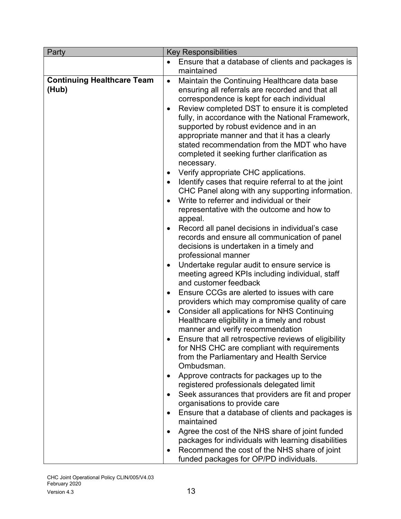| Party                                      | <b>Key Responsibilities</b>                                                                                                                                                                                                                                                                                                                                                                                                                                                                                                                                                                                                                          |
|--------------------------------------------|------------------------------------------------------------------------------------------------------------------------------------------------------------------------------------------------------------------------------------------------------------------------------------------------------------------------------------------------------------------------------------------------------------------------------------------------------------------------------------------------------------------------------------------------------------------------------------------------------------------------------------------------------|
|                                            | Ensure that a database of clients and packages is                                                                                                                                                                                                                                                                                                                                                                                                                                                                                                                                                                                                    |
|                                            | maintained                                                                                                                                                                                                                                                                                                                                                                                                                                                                                                                                                                                                                                           |
| <b>Continuing Healthcare Team</b><br>(Hub) | Maintain the Continuing Healthcare data base<br>$\bullet$<br>ensuring all referrals are recorded and that all                                                                                                                                                                                                                                                                                                                                                                                                                                                                                                                                        |
|                                            | correspondence is kept for each individual<br>Review completed DST to ensure it is completed<br>٠<br>fully, in accordance with the National Framework,<br>supported by robust evidence and in an<br>appropriate manner and that it has a clearly<br>stated recommendation from the MDT who have<br>completed it seeking further clarification as<br>necessary.<br>Verify appropriate CHC applications.<br>$\bullet$<br>Identify cases that require referral to at the joint<br>$\bullet$<br>CHC Panel along with any supporting information.<br>Write to referrer and individual or their<br>$\bullet$<br>representative with the outcome and how to |
|                                            | appeal.<br>Record all panel decisions in individual's case<br>$\bullet$<br>records and ensure all communication of panel<br>decisions is undertaken in a timely and<br>professional manner<br>Undertake regular audit to ensure service is<br>$\bullet$                                                                                                                                                                                                                                                                                                                                                                                              |
|                                            | meeting agreed KPIs including individual, staff<br>and customer feedback<br>Ensure CCGs are alerted to issues with care<br>$\bullet$<br>providers which may compromise quality of care                                                                                                                                                                                                                                                                                                                                                                                                                                                               |
|                                            | <b>Consider all applications for NHS Continuing</b><br>٠<br>Healthcare eligibility in a timely and robust<br>manner and verify recommendation<br>Ensure that all retrospective reviews of eligibility                                                                                                                                                                                                                                                                                                                                                                                                                                                |
|                                            | for NHS CHC are compliant with requirements<br>from the Parliamentary and Health Service<br>Ombudsman.<br>Approve contracts for packages up to the<br>$\bullet$                                                                                                                                                                                                                                                                                                                                                                                                                                                                                      |
|                                            | registered professionals delegated limit<br>Seek assurances that providers are fit and proper<br>٠<br>organisations to provide care                                                                                                                                                                                                                                                                                                                                                                                                                                                                                                                  |
|                                            | Ensure that a database of clients and packages is<br>٠<br>maintained                                                                                                                                                                                                                                                                                                                                                                                                                                                                                                                                                                                 |
|                                            | Agree the cost of the NHS share of joint funded<br>packages for individuals with learning disabilities<br>Recommend the cost of the NHS share of joint<br>$\bullet$<br>funded packages for OP/PD individuals.                                                                                                                                                                                                                                                                                                                                                                                                                                        |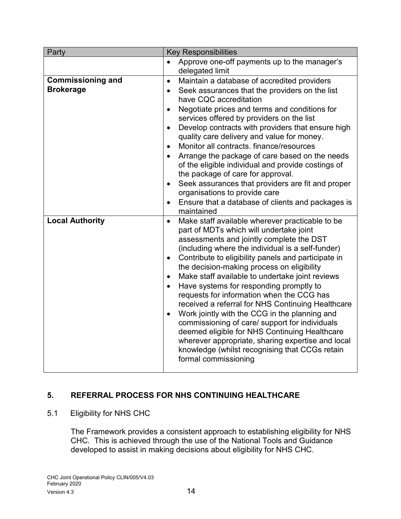| Party                                        | <b>Key Responsibilities</b>                                                                                                                                                                                                                                                                                                                                                                                                                                                                                                                                                                                                                                                                                                                                                                                                                          |
|----------------------------------------------|------------------------------------------------------------------------------------------------------------------------------------------------------------------------------------------------------------------------------------------------------------------------------------------------------------------------------------------------------------------------------------------------------------------------------------------------------------------------------------------------------------------------------------------------------------------------------------------------------------------------------------------------------------------------------------------------------------------------------------------------------------------------------------------------------------------------------------------------------|
|                                              | Approve one-off payments up to the manager's<br>$\bullet$<br>delegated limit                                                                                                                                                                                                                                                                                                                                                                                                                                                                                                                                                                                                                                                                                                                                                                         |
| <b>Commissioning and</b><br><b>Brokerage</b> | Maintain a database of accredited providers<br>$\bullet$<br>Seek assurances that the providers on the list<br>$\bullet$<br>have CQC accreditation<br>Negotiate prices and terms and conditions for<br>$\bullet$<br>services offered by providers on the list<br>Develop contracts with providers that ensure high<br>$\bullet$<br>quality care delivery and value for money.<br>Monitor all contracts. finance/resources<br>$\bullet$<br>Arrange the package of care based on the needs<br>$\bullet$<br>of the eligible individual and provide costings of<br>the package of care for approval.<br>Seek assurances that providers are fit and proper<br>$\bullet$<br>organisations to provide care<br>Ensure that a database of clients and packages is<br>$\bullet$<br>maintained                                                                   |
| <b>Local Authority</b>                       | Make staff available wherever practicable to be<br>$\bullet$<br>part of MDTs which will undertake joint<br>assessments and jointly complete the DST<br>(including where the individual is a self-funder)<br>Contribute to eligibility panels and participate in<br>$\bullet$<br>the decision-making process on eligibility<br>Make staff available to undertake joint reviews<br>$\bullet$<br>Have systems for responding promptly to<br>$\bullet$<br>requests for information when the CCG has<br>received a referral for NHS Continuing Healthcare<br>Work jointly with the CCG in the planning and<br>$\bullet$<br>commissioning of care/ support for individuals<br>deemed eligible for NHS Continuing Healthcare<br>wherever appropriate, sharing expertise and local<br>knowledge (whilst recognising that CCGs retain<br>formal commissioning |

### <span id="page-13-0"></span>**5. REFERRAL PROCESS FOR NHS CONTINUING HEALTHCARE**

### 5.1 Eligibility for NHS CHC

The Framework provides a consistent approach to establishing eligibility for NHS CHC. This is achieved through the use of the National Tools and Guidance developed to assist in making decisions about eligibility for NHS CHC.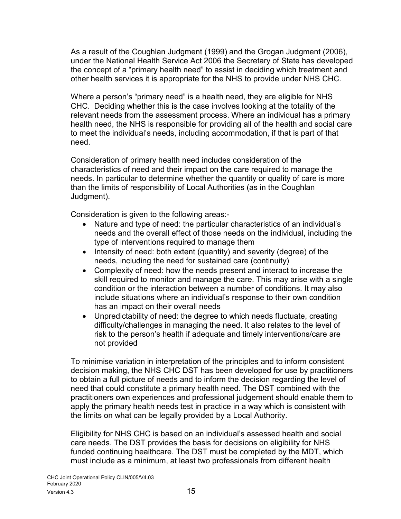As a result of the Coughlan Judgment (1999) and the Grogan Judgment (2006), under the National Health Service Act 2006 the Secretary of State has developed the concept of a "primary health need" to assist in deciding which treatment and other health services it is appropriate for the NHS to provide under NHS CHC.

Where a person's "primary need" is a health need, they are eligible for NHS CHC. Deciding whether this is the case involves looking at the totality of the relevant needs from the assessment process. Where an individual has a primary health need, the NHS is responsible for providing all of the health and social care to meet the individual's needs, including accommodation, if that is part of that need.

Consideration of primary health need includes consideration of the characteristics of need and their impact on the care required to manage the needs. In particular to determine whether the quantity or quality of care is more than the limits of responsibility of Local Authorities (as in the Coughlan Judgment).

Consideration is given to the following areas:-

- Nature and type of need: the particular characteristics of an individual's needs and the overall effect of those needs on the individual, including the type of interventions required to manage them
- Intensity of need: both extent (quantity) and severity (degree) of the needs, including the need for sustained care (continuity)
- Complexity of need: how the needs present and interact to increase the skill required to monitor and manage the care. This may arise with a single condition or the interaction between a number of conditions. It may also include situations where an individual's response to their own condition has an impact on their overall needs
- Unpredictability of need: the degree to which needs fluctuate, creating difficulty/challenges in managing the need. It also relates to the level of risk to the person's health if adequate and timely interventions/care are not provided

To minimise variation in interpretation of the principles and to inform consistent decision making, the NHS CHC DST has been developed for use by practitioners to obtain a full picture of needs and to inform the decision regarding the level of need that could constitute a primary health need. The DST combined with the practitioners own experiences and professional judgement should enable them to apply the primary health needs test in practice in a way which is consistent with the limits on what can be legally provided by a Local Authority.

Eligibility for NHS CHC is based on an individual's assessed health and social care needs. The DST provides the basis for decisions on eligibility for NHS funded continuing healthcare. The DST must be completed by the MDT, which must include as a minimum, at least two professionals from different health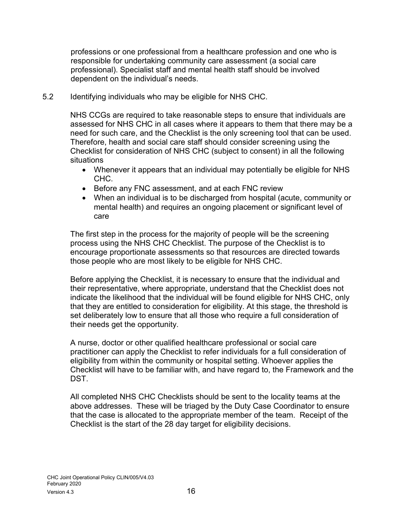professions or one professional from a healthcare profession and one who is responsible for undertaking community care assessment (a social care professional). Specialist staff and mental health staff should be involved dependent on the individual's needs.

5.2 Identifying individuals who may be eligible for NHS CHC.

NHS CCGs are required to take reasonable steps to ensure that individuals are assessed for NHS CHC in all cases where it appears to them that there may be a need for such care, and the Checklist is the only screening tool that can be used. Therefore, health and social care staff should consider screening using the Checklist for consideration of NHS CHC (subject to consent) in all the following situations

- Whenever it appears that an individual may potentially be eligible for NHS CHC.
- Before any FNC assessment, and at each FNC review
- When an individual is to be discharged from hospital (acute, community or mental health) and requires an ongoing placement or significant level of care

The first step in the process for the majority of people will be the screening process using the NHS CHC Checklist. The purpose of the Checklist is to encourage proportionate assessments so that resources are directed towards those people who are most likely to be eligible for NHS CHC.

Before applying the Checklist, it is necessary to ensure that the individual and their representative, where appropriate, understand that the Checklist does not indicate the likelihood that the individual will be found eligible for NHS CHC, only that they are entitled to consideration for eligibility. At this stage, the threshold is set deliberately low to ensure that all those who require a full consideration of their needs get the opportunity.

A nurse, doctor or other qualified healthcare professional or social care practitioner can apply the Checklist to refer individuals for a full consideration of eligibility from within the community or hospital setting. Whoever applies the Checklist will have to be familiar with, and have regard to, the Framework and the DST.

All completed NHS CHC Checklists should be sent to the locality teams at the above addresses. These will be triaged by the Duty Case Coordinator to ensure that the case is allocated to the appropriate member of the team. Receipt of the Checklist is the start of the 28 day target for eligibility decisions.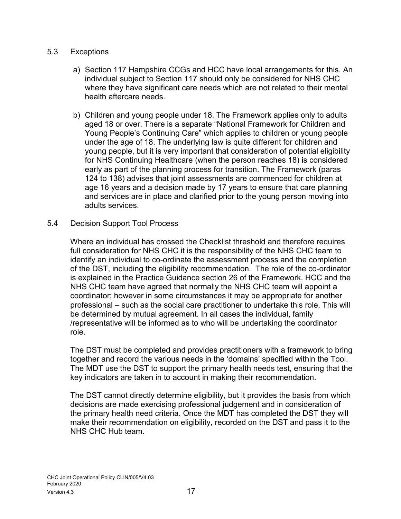#### 5.3 Exceptions

- a) Section 117 Hampshire CCGs and HCC have local arrangements for this. An individual subject to Section 117 should only be considered for NHS CHC where they have significant care needs which are not related to their mental health aftercare needs.
- b) Children and young people under 18. The Framework applies only to adults aged 18 or over. There is a separate "National Framework for Children and Young People's Continuing Care" which applies to children or young people under the age of 18. The underlying law is quite different for children and young people, but it is very important that consideration of potential eligibility for NHS Continuing Healthcare (when the person reaches 18) is considered early as part of the planning process for transition. The Framework (paras 124 to 138) advises that joint assessments are commenced for children at age 16 years and a decision made by 17 years to ensure that care planning and services are in place and clarified prior to the young person moving into adults services.

#### 5.4 Decision Support Tool Process

Where an individual has crossed the Checklist threshold and therefore requires full consideration for NHS CHC it is the responsibility of the NHS CHC team to identify an individual to co-ordinate the assessment process and the completion of the DST, including the eligibility recommendation. The role of the co-ordinator is explained in the Practice Guidance section 26 of the Framework. HCC and the NHS CHC team have agreed that normally the NHS CHC team will appoint a coordinator; however in some circumstances it may be appropriate for another professional – such as the social care practitioner to undertake this role. This will be determined by mutual agreement. In all cases the individual, family /representative will be informed as to who will be undertaking the coordinator role.

The DST must be completed and provides practitioners with a framework to bring together and record the various needs in the 'domains' specified within the Tool. The MDT use the DST to support the primary health needs test, ensuring that the key indicators are taken in to account in making their recommendation.

The DST cannot directly determine eligibility, but it provides the basis from which decisions are made exercising professional judgement and in consideration of the primary health need criteria. Once the MDT has completed the DST they will make their recommendation on eligibility, recorded on the DST and pass it to the NHS CHC Hub team.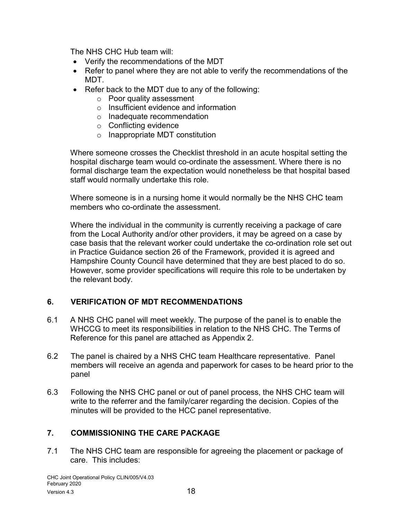The NHS CHC Hub team will:

- Verify the recommendations of the MDT
- Refer to panel where they are not able to verify the recommendations of the MDT.
- Refer back to the MDT due to any of the following:
	- o Poor quality assessment
	- o Insufficient evidence and information
	- o Inadequate recommendation
	- o Conflicting evidence
	- o Inappropriate MDT constitution

Where someone crosses the Checklist threshold in an acute hospital setting the hospital discharge team would co-ordinate the assessment. Where there is no formal discharge team the expectation would nonetheless be that hospital based staff would normally undertake this role.

Where someone is in a nursing home it would normally be the NHS CHC team members who co-ordinate the assessment.

Where the individual in the community is currently receiving a package of care from the Local Authority and/or other providers, it may be agreed on a case by case basis that the relevant worker could undertake the co-ordination role set out in Practice Guidance section 26 of the Framework, provided it is agreed and Hampshire County Council have determined that they are best placed to do so. However, some provider specifications will require this role to be undertaken by the relevant body.

### <span id="page-17-0"></span>**6. VERIFICATION OF MDT RECOMMENDATIONS**

- 6.1 A NHS CHC panel will meet weekly. The purpose of the panel is to enable the WHCCG to meet its responsibilities in relation to the NHS CHC. The Terms of Reference for this panel are attached as Appendix 2.
- 6.2 The panel is chaired by a NHS CHC team Healthcare representative. Panel members will receive an agenda and paperwork for cases to be heard prior to the panel
- 6.3 Following the NHS CHC panel or out of panel process, the NHS CHC team will write to the referrer and the family/carer regarding the decision. Copies of the minutes will be provided to the HCC panel representative.

### <span id="page-17-1"></span>**7. COMMISSIONING THE CARE PACKAGE**

7.1 The NHS CHC team are responsible for agreeing the placement or package of care. This includes: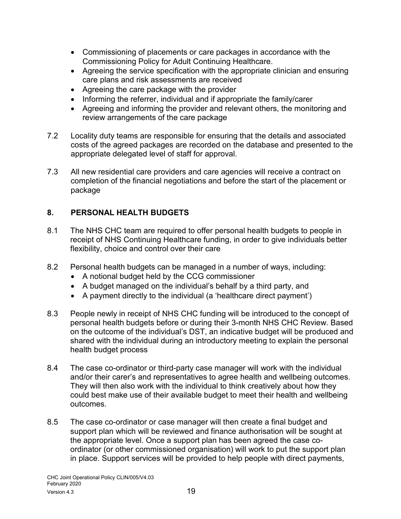- Commissioning of placements or care packages in accordance with the Commissioning Policy for Adult Continuing Healthcare.
- Agreeing the service specification with the appropriate clinician and ensuring care plans and risk assessments are received
- Agreeing the care package with the provider
- Informing the referrer, individual and if appropriate the family/carer
- Agreeing and informing the provider and relevant others, the monitoring and review arrangements of the care package
- 7.2 Locality duty teams are responsible for ensuring that the details and associated costs of the agreed packages are recorded on the database and presented to the appropriate delegated level of staff for approval.
- 7.3 All new residential care providers and care agencies will receive a contract on completion of the financial negotiations and before the start of the placement or package

### <span id="page-18-0"></span>**8. PERSONAL HEALTH BUDGETS**

- 8.1 The NHS CHC team are required to offer personal health budgets to people in receipt of NHS Continuing Healthcare funding, in order to give individuals better flexibility, choice and control over their care
- 8.2 Personal health budgets can be managed in a number of ways, including:
	- A notional budget held by the CCG commissioner
	- A budget managed on the individual's behalf by a third party, and
	- A payment directly to the individual (a 'healthcare direct payment')
- 8.3 People newly in receipt of NHS CHC funding will be introduced to the concept of personal health budgets before or during their 3-month NHS CHC Review. Based on the outcome of the individual's DST, an indicative budget will be produced and shared with the individual during an introductory meeting to explain the personal health budget process
- 8.4 The case co-ordinator or third-party case manager will work with the individual and/or their carer's and representatives to agree health and wellbeing outcomes. They will then also work with the individual to think creatively about how they could best make use of their available budget to meet their health and wellbeing outcomes.
- 8.5 The case co-ordinator or case manager will then create a final budget and support plan which will be reviewed and finance authorisation will be sought at the appropriate level. Once a support plan has been agreed the case coordinator (or other commissioned organisation) will work to put the support plan in place. Support services will be provided to help people with direct payments,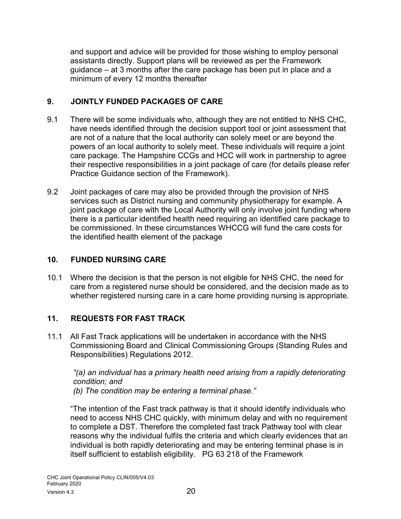and support and advice will be provided for those wishing to employ personal assistants directly. Support plans will be reviewed as per the Framework guidance – at 3 months after the care package has been put in place and a minimum of every 12 months thereafter

### <span id="page-19-0"></span>**9. JOINTLY FUNDED PACKAGES OF CARE**

- 9.1 There will be some individuals who, although they are not entitled to NHS CHC, have needs identified through the decision support tool or joint assessment that are not of a nature that the local authority can solely meet or are beyond the powers of an local authority to solely meet. These individuals will require a joint care package. The Hampshire CCGs and HCC will work in partnership to agree their respective responsibilities in a joint package of care (for details please refer Practice Guidance section of the Framework).
- 9.2 Joint packages of care may also be provided through the provision of NHS services such as District nursing and community physiotherapy for example. A joint package of care with the Local Authority will only involve joint funding where there is a particular identified health need requiring an identified care package to be commissioned. In these circumstances WHCCG will fund the care costs for the identified health element of the package

### <span id="page-19-1"></span>**10. FUNDED NURSING CARE**

10.1 Where the decision is that the person is not eligible for NHS CHC, the need for care from a registered nurse should be considered, and the decision made as to whether registered nursing care in a care home providing nursing is appropriate.

### <span id="page-19-2"></span>**11. REQUESTS FOR FAST TRACK**

11.1 All Fast Track applications will be undertaken in accordance with the NHS Commissioning Board and Clinical Commissioning Groups (Standing Rules and Responsibilities) Regulations 2012.

*"(a) an individual has a primary health need arising from a rapidly deteriorating condition; and (b) The condition may be entering a terminal phase."*

"The intention of the Fast track pathway is that it should identify individuals who need to access NHS CHC quickly, with minimum delay and with no requirement to complete a DST. Therefore the completed fast track Pathway tool with clear reasons why the individual fulfils the criteria and which clearly evidences that an individual is both rapidly deteriorating and may be entering terminal phase is in itself sufficient to establish eligibility. PG 63 218 of the Framework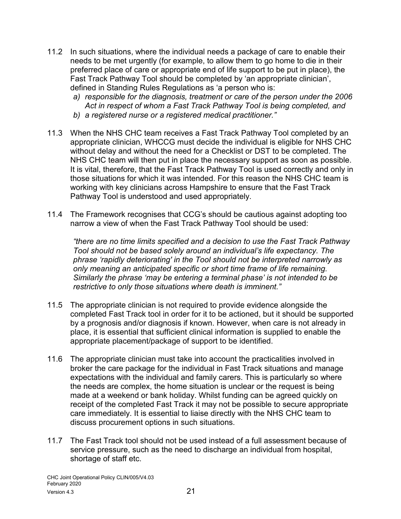- 11.2 In such situations, where the individual needs a package of care to enable their needs to be met urgently (for example, to allow them to go home to die in their preferred place of care or appropriate end of life support to be put in place), the Fast Track Pathway Tool should be completed by 'an appropriate clinician', defined in Standing Rules Regulations as 'a person who is:
	- *a) responsible for the diagnosis, treatment or care of the person under the 2006 Act in respect of whom a Fast Track Pathway Tool is being completed, and*
	- *b) a registered nurse or a registered medical practitioner."*
- 11.3 When the NHS CHC team receives a Fast Track Pathway Tool completed by an appropriate clinician, WHCCG must decide the individual is eligible for NHS CHC without delay and without the need for a Checklist or DST to be completed. The NHS CHC team will then put in place the necessary support as soon as possible. It is vital, therefore, that the Fast Track Pathway Tool is used correctly and only in those situations for which it was intended. For this reason the NHS CHC team is working with key clinicians across Hampshire to ensure that the Fast Track Pathway Tool is understood and used appropriately.
- 11.4 The Framework recognises that CCG's should be cautious against adopting too narrow a view of when the Fast Track Pathway Tool should be used:

*"there are no time limits specified and a decision to use the Fast Track Pathway Tool should not be based solely around an individual's life expectancy. The phrase 'rapidly deteriorating' in the Tool should not be interpreted narrowly as only meaning an anticipated specific or short time frame of life remaining. Similarly the phrase 'may be entering a terminal phase' is not intended to be restrictive to only those situations where death is imminent."*

- 11.5 The appropriate clinician is not required to provide evidence alongside the completed Fast Track tool in order for it to be actioned, but it should be supported by a prognosis and/or diagnosis if known. However, when care is not already in place, it is essential that sufficient clinical information is supplied to enable the appropriate placement/package of support to be identified.
- 11.6 The appropriate clinician must take into account the practicalities involved in broker the care package for the individual in Fast Track situations and manage expectations with the individual and family carers. This is particularly so where the needs are complex, the home situation is unclear or the request is being made at a weekend or bank holiday. Whilst funding can be agreed quickly on receipt of the completed Fast Track it may not be possible to secure appropriate care immediately. It is essential to liaise directly with the NHS CHC team to discuss procurement options in such situations.
- 11.7 The Fast Track tool should not be used instead of a full assessment because of service pressure, such as the need to discharge an individual from hospital, shortage of staff etc.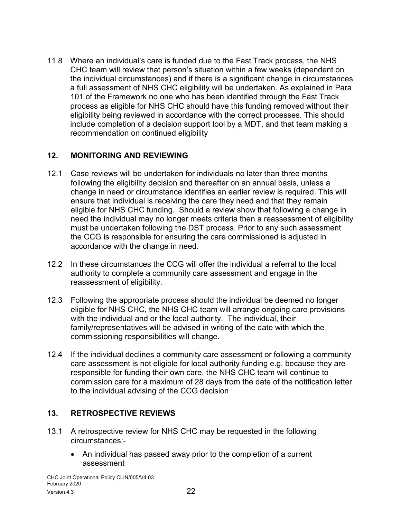11.8 Where an individual's care is funded due to the Fast Track process, the NHS CHC team will review that person's situation within a few weeks (dependent on the individual circumstances) and if there is a significant change in circumstances a full assessment of NHS CHC eligibility will be undertaken. As explained in Para 101 of the Framework no one who has been identified through the Fast Track process as eligible for NHS CHC should have this funding removed without their eligibility being reviewed in accordance with the correct processes. This should include completion of a decision support tool by a MDT, and that team making a recommendation on continued eligibility

### <span id="page-21-0"></span>**12. MONITORING AND REVIEWING**

- 12.1 Case reviews will be undertaken for individuals no later than three months following the eligibility decision and thereafter on an annual basis, unless a change in need or circumstance identifies an earlier review is required. This will ensure that individual is receiving the care they need and that they remain eligible for NHS CHC funding. Should a review show that following a change in need the individual may no longer meets criteria then a reassessment of eligibility must be undertaken following the DST process. Prior to any such assessment the CCG is responsible for ensuring the care commissioned is adjusted in accordance with the change in need.
- 12.2 In these circumstances the CCG will offer the individual a referral to the local authority to complete a community care assessment and engage in the reassessment of eligibility.
- 12.3 Following the appropriate process should the individual be deemed no longer eligible for NHS CHC, the NHS CHC team will arrange ongoing care provisions with the individual and or the local authority. The individual, their family/representatives will be advised in writing of the date with which the commissioning responsibilities will change.
- 12.4 If the individual declines a community care assessment or following a community care assessment is not eligible for local authority funding e.g. because they are responsible for funding their own care, the NHS CHC team will continue to commission care for a maximum of 28 days from the date of the notification letter to the individual advising of the CCG decision

### <span id="page-21-1"></span>**13. RETROSPECTIVE REVIEWS**

- 13.1 A retrospective review for NHS CHC may be requested in the following circumstances:-
	- An individual has passed away prior to the completion of a current assessment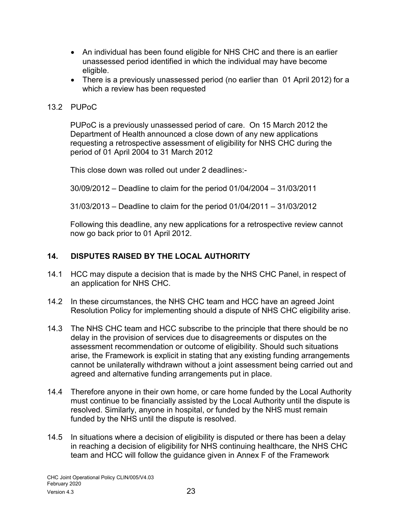- An individual has been found eligible for NHS CHC and there is an earlier unassessed period identified in which the individual may have become eligible.
- There is a previously unassessed period (no earlier than 01 April 2012) for a which a review has been requested

#### 13.2 PUPoC

PUPoC is a previously unassessed period of care. On 15 March 2012 the Department of Health announced a close down of any new applications requesting a retrospective assessment of eligibility for NHS CHC during the period of 01 April 2004 to 31 March 2012

This close down was rolled out under 2 deadlines:-

30/09/2012 – Deadline to claim for the period 01/04/2004 – 31/03/2011

31/03/2013 – Deadline to claim for the period 01/04/2011 – 31/03/2012

Following this deadline, any new applications for a retrospective review cannot now go back prior to 01 April 2012.

#### <span id="page-22-0"></span>**14. DISPUTES RAISED BY THE LOCAL AUTHORITY**

- 14.1 HCC may dispute a decision that is made by the NHS CHC Panel, in respect of an application for NHS CHC.
- 14.2 In these circumstances, the NHS CHC team and HCC have an agreed Joint Resolution Policy for implementing should a dispute of NHS CHC eligibility arise.
- 14.3 The NHS CHC team and HCC subscribe to the principle that there should be no delay in the provision of services due to disagreements or disputes on the assessment recommendation or outcome of eligibility. Should such situations arise, the Framework is explicit in stating that any existing funding arrangements cannot be unilaterally withdrawn without a joint assessment being carried out and agreed and alternative funding arrangements put in place.
- 14.4 Therefore anyone in their own home, or care home funded by the Local Authority must continue to be financially assisted by the Local Authority until the dispute is resolved. Similarly, anyone in hospital, or funded by the NHS must remain funded by the NHS until the dispute is resolved.
- 14.5 In situations where a decision of eligibility is disputed or there has been a delay in reaching a decision of eligibility for NHS continuing healthcare, the NHS CHC team and HCC will follow the guidance given in Annex F of the Framework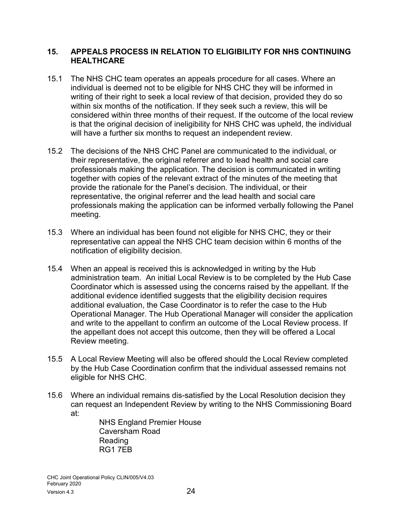#### <span id="page-23-0"></span>**15. APPEALS PROCESS IN RELATION TO ELIGIBILITY FOR NHS CONTINUING HEALTHCARE**

- 15.1 The NHS CHC team operates an appeals procedure for all cases. Where an individual is deemed not to be eligible for NHS CHC they will be informed in writing of their right to seek a local review of that decision, provided they do so within six months of the notification. If they seek such a review, this will be considered within three months of their request. If the outcome of the local review is that the original decision of ineligibility for NHS CHC was upheld, the individual will have a further six months to request an independent review.
- 15.2 The decisions of the NHS CHC Panel are communicated to the individual, or their representative, the original referrer and to lead health and social care professionals making the application. The decision is communicated in writing together with copies of the relevant extract of the minutes of the meeting that provide the rationale for the Panel's decision. The individual, or their representative, the original referrer and the lead health and social care professionals making the application can be informed verbally following the Panel meeting.
- 15.3 Where an individual has been found not eligible for NHS CHC, they or their representative can appeal the NHS CHC team decision within 6 months of the notification of eligibility decision.
- 15.4 When an appeal is received this is acknowledged in writing by the Hub administration team. An initial Local Review is to be completed by the Hub Case Coordinator which is assessed using the concerns raised by the appellant. If the additional evidence identified suggests that the eligibility decision requires additional evaluation, the Case Coordinator is to refer the case to the Hub Operational Manager. The Hub Operational Manager will consider the application and write to the appellant to confirm an outcome of the Local Review process. If the appellant does not accept this outcome, then they will be offered a Local Review meeting.
- 15.5 A Local Review Meeting will also be offered should the Local Review completed by the Hub Case Coordination confirm that the individual assessed remains not eligible for NHS CHC.
- 15.6 Where an individual remains dis-satisfied by the Local Resolution decision they can request an Independent Review by writing to the NHS Commissioning Board at:

NHS England Premier House Caversham Road Reading RG1 7EB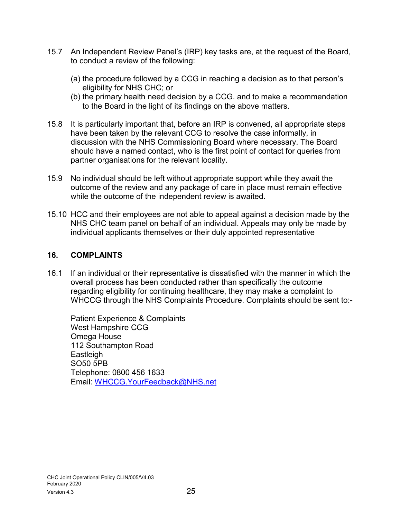- 15.7 An Independent Review Panel's (IRP) key tasks are, at the request of the Board, to conduct a review of the following:
	- (a) the procedure followed by a CCG in reaching a decision as to that person's eligibility for NHS CHC; or
	- (b) the primary health need decision by a CCG. and to make a recommendation to the Board in the light of its findings on the above matters.
- 15.8 It is particularly important that, before an IRP is convened, all appropriate steps have been taken by the relevant CCG to resolve the case informally, in discussion with the NHS Commissioning Board where necessary. The Board should have a named contact, who is the first point of contact for queries from partner organisations for the relevant locality.
- 15.9 No individual should be left without appropriate support while they await the outcome of the review and any package of care in place must remain effective while the outcome of the independent review is awaited.
- 15.10 HCC and their employees are not able to appeal against a decision made by the NHS CHC team panel on behalf of an individual. Appeals may only be made by individual applicants themselves or their duly appointed representative

#### <span id="page-24-0"></span>**16. COMPLAINTS**

16.1 If an individual or their representative is dissatisfied with the manner in which the overall process has been conducted rather than specifically the outcome regarding eligibility for continuing healthcare, they may make a complaint to WHCCG through the NHS Complaints Procedure. Complaints should be sent to:-

Patient Experience & Complaints West Hampshire CCG Omega House 112 Southampton Road **Eastleigh** SO50 5PB Telephone: 0800 456 1633 Email: [WHCCG.YourFeedback@NHS.net](mailto:WHCCG.YourFeedback@NHS.net)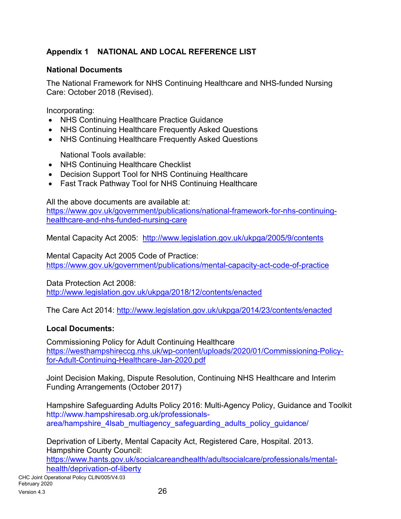### <span id="page-25-0"></span>**Appendix 1 NATIONAL AND LOCAL REFERENCE LIST**

### **National Documents**

The National Framework for NHS Continuing Healthcare and NHS-funded Nursing Care: October 2018 (Revised).

Incorporating:

- NHS Continuing Healthcare Practice Guidance
- NHS Continuing Healthcare Frequently Asked Questions
- NHS Continuing Healthcare Frequently Asked Questions

National Tools available:

- NHS Continuing Healthcare Checklist
- Decision Support Tool for NHS Continuing Healthcare
- Fast Track Pathway Tool for NHS Continuing Healthcare

All the above documents are available at:

[https://www.gov.uk/government/publications/national-framework-for-nhs-continuing](https://www.gov.uk/government/publications/national-framework-for-nhs-continuing-healthcare-and-nhs-funded-nursing-care)[healthcare-and-nhs-funded-nursing-care](https://www.gov.uk/government/publications/national-framework-for-nhs-continuing-healthcare-and-nhs-funded-nursing-care)

Mental Capacity Act 2005: <http://www.legislation.gov.uk/ukpga/2005/9/contents>

Mental Capacity Act 2005 Code of Practice: <https://www.gov.uk/government/publications/mental-capacity-act-code-of-practice>

Data Protection Act 2008: <http://www.legislation.gov.uk/ukpga/2018/12/contents/enacted>

The Care Act 2014: <http://www.legislation.gov.uk/ukpga/2014/23/contents/enacted>

#### **Local Documents:**

Commissioning Policy for Adult Continuing Healthcare [https://westhampshireccg.nhs.uk/wp-content/uploads/2020/01/Commissioning-Policy](https://westhampshireccg.nhs.uk/wp-content/uploads/2020/01/Commissioning-Policy-for-Adult-Continuing-Healthcare-Jan-2020.pdf)[for-Adult-Continuing-Healthcare-Jan-2020.pdf](https://westhampshireccg.nhs.uk/wp-content/uploads/2020/01/Commissioning-Policy-for-Adult-Continuing-Healthcare-Jan-2020.pdf)

Joint Decision Making, Dispute Resolution, Continuing NHS Healthcare and Interim Funding Arrangements (October 2017)

Hampshire Safeguarding Adults Policy 2016: Multi-Agency Policy, Guidance and Toolkit [http://www.hampshiresab.org.uk/professionals](http://www.hampshiresab.org.uk/professionals-area/hampshire_4lsab_multiagency_safeguarding_adults_policy_guidance/)area/hampshire 4lsab multiagency safeguarding adults policy guidance/

Deprivation of Liberty, Mental Capacity Act, Registered Care, Hospital. 2013. Hampshire County Council: [https://www.hants.gov.uk/socialcareandhealth/adultsocialcare/professionals/mental](https://www.hants.gov.uk/socialcareandhealth/adultsocialcare/professionals/mental-health/deprivation-of-liberty)[health/deprivation-of-liberty](https://www.hants.gov.uk/socialcareandhealth/adultsocialcare/professionals/mental-health/deprivation-of-liberty)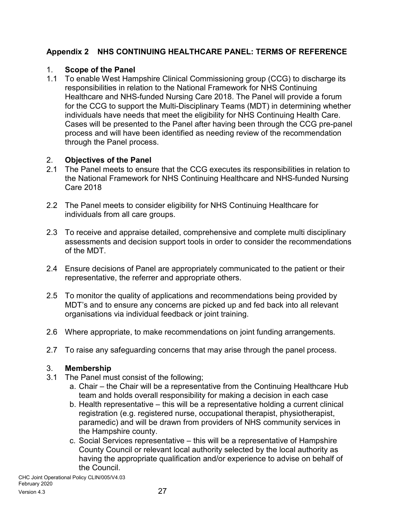### <span id="page-26-0"></span>**Appendix 2 NHS CONTINUING HEALTHCARE PANEL: TERMS OF REFERENCE**

### 1. **Scope of the Panel**

1.1 To enable West Hampshire Clinical Commissioning group (CCG) to discharge its responsibilities in relation to the National Framework for NHS Continuing Healthcare and NHS-funded Nursing Care 2018. The Panel will provide a forum for the CCG to support the Multi-Disciplinary Teams (MDT) in determining whether individuals have needs that meet the eligibility for NHS Continuing Health Care. Cases will be presented to the Panel after having been through the CCG pre-panel process and will have been identified as needing review of the recommendation through the Panel process.

### 2. **Objectives of the Panel**

- 2.1 The Panel meets to ensure that the CCG executes its responsibilities in relation to the National Framework for NHS Continuing Healthcare and NHS-funded Nursing Care 2018
- 2.2 The Panel meets to consider eligibility for NHS Continuing Healthcare for individuals from all care groups.
- 2.3 To receive and appraise detailed, comprehensive and complete multi disciplinary assessments and decision support tools in order to consider the recommendations of the MDT.
- 2.4 Ensure decisions of Panel are appropriately communicated to the patient or their representative, the referrer and appropriate others.
- 2.5 To monitor the quality of applications and recommendations being provided by MDT's and to ensure any concerns are picked up and fed back into all relevant organisations via individual feedback or joint training.
- 2.6 Where appropriate, to make recommendations on joint funding arrangements.
- 2.7 To raise any safeguarding concerns that may arise through the panel process.

### 3. **Membership**

- 3.1 The Panel must consist of the following;
	- a. Chair the Chair will be a representative from the Continuing Healthcare Hub team and holds overall responsibility for making a decision in each case
	- b. Health representative this will be a representative holding a current clinical registration (e.g. registered nurse, occupational therapist, physiotherapist, paramedic) and will be drawn from providers of NHS community services in the Hampshire county.
	- c. Social Services representative this will be a representative of Hampshire County Council or relevant local authority selected by the local authority as having the appropriate qualification and/or experience to advise on behalf of the Council.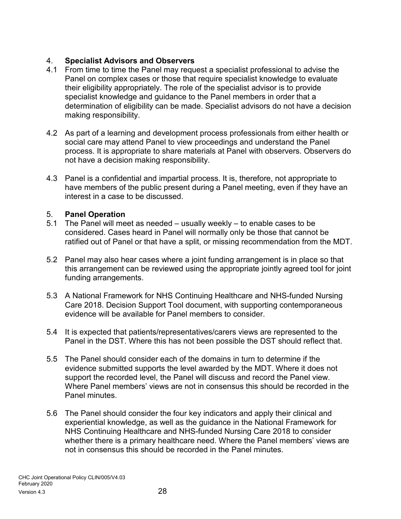### 4. **Specialist Advisors and Observers**

- 4.1 From time to time the Panel may request a specialist professional to advise the Panel on complex cases or those that require specialist knowledge to evaluate their eligibility appropriately. The role of the specialist advisor is to provide specialist knowledge and guidance to the Panel members in order that a determination of eligibility can be made. Specialist advisors do not have a decision making responsibility.
- 4.2 As part of a learning and development process professionals from either health or social care may attend Panel to view proceedings and understand the Panel process. It is appropriate to share materials at Panel with observers. Observers do not have a decision making responsibility.
- 4.3 Panel is a confidential and impartial process. It is, therefore, not appropriate to have members of the public present during a Panel meeting, even if they have an interest in a case to be discussed.

### 5. **Panel Operation**

- 5.1 The Panel will meet as needed usually weekly to enable cases to be considered. Cases heard in Panel will normally only be those that cannot be ratified out of Panel or that have a split, or missing recommendation from the MDT.
- 5.2 Panel may also hear cases where a joint funding arrangement is in place so that this arrangement can be reviewed using the appropriate jointly agreed tool for joint funding arrangements.
- 5.3 A National Framework for NHS Continuing Healthcare and NHS-funded Nursing Care 2018. Decision Support Tool document, with supporting contemporaneous evidence will be available for Panel members to consider.
- 5.4 It is expected that patients/representatives/carers views are represented to the Panel in the DST. Where this has not been possible the DST should reflect that.
- 5.5 The Panel should consider each of the domains in turn to determine if the evidence submitted supports the level awarded by the MDT. Where it does not support the recorded level, the Panel will discuss and record the Panel view. Where Panel members' views are not in consensus this should be recorded in the Panel minutes.
- 5.6 The Panel should consider the four key indicators and apply their clinical and experiential knowledge, as well as the guidance in the National Framework for NHS Continuing Healthcare and NHS-funded Nursing Care 2018 to consider whether there is a primary healthcare need. Where the Panel members' views are not in consensus this should be recorded in the Panel minutes.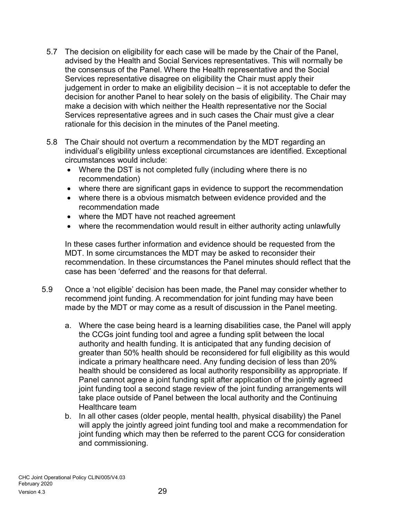- 5.7 The decision on eligibility for each case will be made by the Chair of the Panel, advised by the Health and Social Services representatives. This will normally be the consensus of the Panel. Where the Health representative and the Social Services representative disagree on eligibility the Chair must apply their judgement in order to make an eligibility decision – it is not acceptable to defer the decision for another Panel to hear solely on the basis of eligibility. The Chair may make a decision with which neither the Health representative nor the Social Services representative agrees and in such cases the Chair must give a clear rationale for this decision in the minutes of the Panel meeting.
- 5.8 The Chair should not overturn a recommendation by the MDT regarding an individual's eligibility unless exceptional circumstances are identified. Exceptional circumstances would include:
	- Where the DST is not completed fully (including where there is no recommendation)
	- where there are significant gaps in evidence to support the recommendation
	- where there is a obvious mismatch between evidence provided and the recommendation made
	- where the MDT have not reached agreement
	- where the recommendation would result in either authority acting unlawfully

In these cases further information and evidence should be requested from the MDT. In some circumstances the MDT may be asked to reconsider their recommendation. In these circumstances the Panel minutes should reflect that the case has been 'deferred' and the reasons for that deferral.

- 5.9 Once a 'not eligible' decision has been made, the Panel may consider whether to recommend joint funding. A recommendation for joint funding may have been made by the MDT or may come as a result of discussion in the Panel meeting.
	- a. Where the case being heard is a learning disabilities case, the Panel will apply the CCGs joint funding tool and agree a funding split between the local authority and health funding. It is anticipated that any funding decision of greater than 50% health should be reconsidered for full eligibility as this would indicate a primary healthcare need. Any funding decision of less than 20% health should be considered as local authority responsibility as appropriate. If Panel cannot agree a joint funding split after application of the jointly agreed joint funding tool a second stage review of the joint funding arrangements will take place outside of Panel between the local authority and the Continuing Healthcare team
	- b. In all other cases (older people, mental health, physical disability) the Panel will apply the jointly agreed joint funding tool and make a recommendation for joint funding which may then be referred to the parent CCG for consideration and commissioning.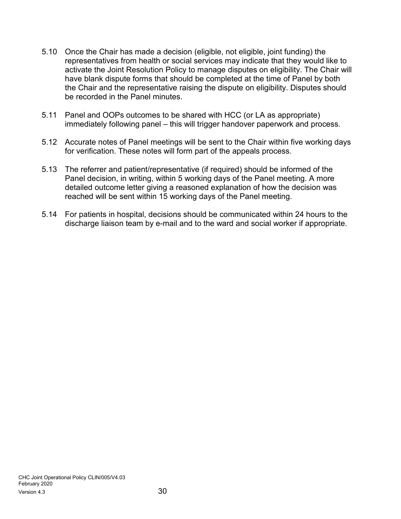- 5.10 Once the Chair has made a decision (eligible, not eligible, joint funding) the representatives from health or social services may indicate that they would like to activate the Joint Resolution Policy to manage disputes on eligibility. The Chair will have blank dispute forms that should be completed at the time of Panel by both the Chair and the representative raising the dispute on eligibility. Disputes should be recorded in the Panel minutes.
- 5.11 Panel and OOPs outcomes to be shared with HCC (or LA as appropriate) immediately following panel – this will trigger handover paperwork and process.
- 5.12 Accurate notes of Panel meetings will be sent to the Chair within five working days for verification. These notes will form part of the appeals process.
- 5.13 The referrer and patient/representative (if required) should be informed of the Panel decision, in writing, within 5 working days of the Panel meeting. A more detailed outcome letter giving a reasoned explanation of how the decision was reached will be sent within 15 working days of the Panel meeting.
- 5.14 For patients in hospital, decisions should be communicated within 24 hours to the discharge liaison team by e-mail and to the ward and social worker if appropriate.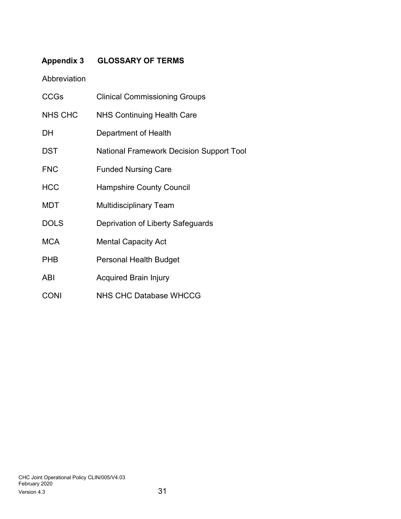# <span id="page-30-0"></span>**Appendix 3 GLOSSARY OF TERMS**

Abbreviation

| <b>CCGs</b>    | <b>Clinical Commissioning Groups</b>            |
|----------------|-------------------------------------------------|
| <b>NHS CHC</b> | <b>NHS Continuing Health Care</b>               |
| DH             | Department of Health                            |
| <b>DST</b>     | <b>National Framework Decision Support Tool</b> |
| <b>FNC</b>     | <b>Funded Nursing Care</b>                      |
| <b>HCC</b>     | <b>Hampshire County Council</b>                 |
| MDT            | <b>Multidisciplinary Team</b>                   |
| <b>DOLS</b>    | Deprivation of Liberty Safeguards               |
| <b>MCA</b>     | <b>Mental Capacity Act</b>                      |
| <b>PHB</b>     | <b>Personal Health Budget</b>                   |
| ABI            | <b>Acquired Brain Injury</b>                    |
| CONI           | <b>NHS CHC Database WHCCG</b>                   |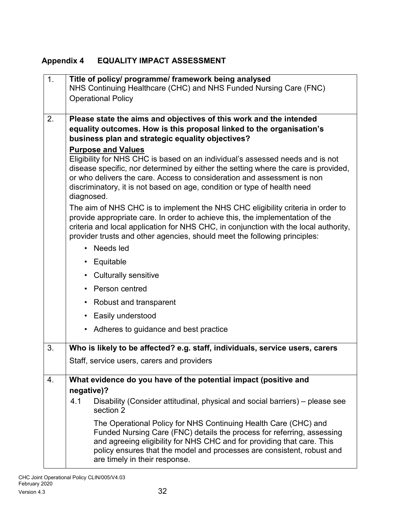# <span id="page-31-0"></span>**Appendix 4 EQUALITY IMPACT ASSESSMENT**

| 1.               | Title of policy/ programme/ framework being analysed<br>NHS Continuing Healthcare (CHC) and NHS Funded Nursing Care (FNC)                                                                                                                                                                                                                                             |  |  |
|------------------|-----------------------------------------------------------------------------------------------------------------------------------------------------------------------------------------------------------------------------------------------------------------------------------------------------------------------------------------------------------------------|--|--|
|                  | <b>Operational Policy</b>                                                                                                                                                                                                                                                                                                                                             |  |  |
| 2.               | Please state the aims and objectives of this work and the intended<br>equality outcomes. How is this proposal linked to the organisation's<br>business plan and strategic equality objectives?                                                                                                                                                                        |  |  |
|                  | <b>Purpose and Values</b><br>Eligibility for NHS CHC is based on an individual's assessed needs and is not<br>disease specific, nor determined by either the setting where the care is provided,<br>or who delivers the care. Access to consideration and assessment is non<br>discriminatory, it is not based on age, condition or type of health need<br>diagnosed. |  |  |
|                  | The aim of NHS CHC is to implement the NHS CHC eligibility criteria in order to<br>provide appropriate care. In order to achieve this, the implementation of the<br>criteria and local application for NHS CHC, in conjunction with the local authority,<br>provider trusts and other agencies, should meet the following principles:                                 |  |  |
|                  | Needs led<br>$\bullet$                                                                                                                                                                                                                                                                                                                                                |  |  |
|                  | Equitable                                                                                                                                                                                                                                                                                                                                                             |  |  |
|                  | <b>Culturally sensitive</b>                                                                                                                                                                                                                                                                                                                                           |  |  |
|                  | <b>Person centred</b><br>$\bullet$                                                                                                                                                                                                                                                                                                                                    |  |  |
|                  | Robust and transparent<br>$\bullet$                                                                                                                                                                                                                                                                                                                                   |  |  |
|                  | Easily understood<br>٠                                                                                                                                                                                                                                                                                                                                                |  |  |
|                  | Adheres to guidance and best practice<br>$\bullet$                                                                                                                                                                                                                                                                                                                    |  |  |
| 3.               | Who is likely to be affected? e.g. staff, individuals, service users, carers                                                                                                                                                                                                                                                                                          |  |  |
|                  | Staff, service users, carers and providers                                                                                                                                                                                                                                                                                                                            |  |  |
| $\overline{4}$ . | What evidence do you have of the potential impact (positive and<br>negative)?                                                                                                                                                                                                                                                                                         |  |  |
|                  | 4.1<br>Disability (Consider attitudinal, physical and social barriers) – please see<br>section 2                                                                                                                                                                                                                                                                      |  |  |
|                  | The Operational Policy for NHS Continuing Health Care (CHC) and<br>Funded Nursing Care (FNC) details the process for referring, assessing<br>and agreeing eligibility for NHS CHC and for providing that care. This<br>policy ensures that the model and processes are consistent, robust and<br>are timely in their response.                                        |  |  |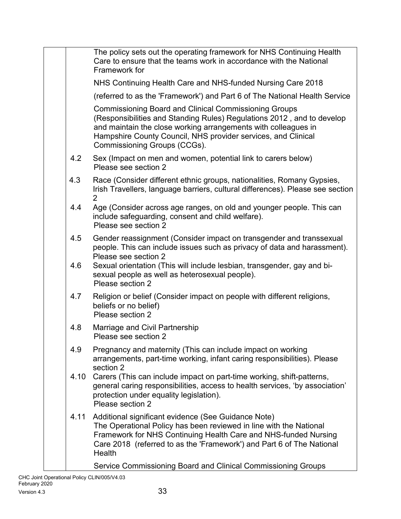|      | The policy sets out the operating framework for NHS Continuing Health<br>Care to ensure that the teams work in accordance with the National<br>Framework for                                                                                                                                                     |
|------|------------------------------------------------------------------------------------------------------------------------------------------------------------------------------------------------------------------------------------------------------------------------------------------------------------------|
|      | NHS Continuing Health Care and NHS-funded Nursing Care 2018                                                                                                                                                                                                                                                      |
|      | (referred to as the 'Framework') and Part 6 of The National Health Service                                                                                                                                                                                                                                       |
|      | <b>Commissioning Board and Clinical Commissioning Groups</b><br>(Responsibilities and Standing Rules) Regulations 2012, and to develop<br>and maintain the close working arrangements with colleagues in<br>Hampshire County Council, NHS provider services, and Clinical<br><b>Commissioning Groups (CCGs).</b> |
| 4.2  | Sex (Impact on men and women, potential link to carers below)<br>Please see section 2                                                                                                                                                                                                                            |
| 4.3  | Race (Consider different ethnic groups, nationalities, Romany Gypsies,<br>Irish Travellers, language barriers, cultural differences). Please see section<br>$\overline{2}$                                                                                                                                       |
| 4.4  | Age (Consider across age ranges, on old and younger people. This can<br>include safeguarding, consent and child welfare).<br>Please see section 2                                                                                                                                                                |
| 4.5  | Gender reassignment (Consider impact on transgender and transsexual<br>people. This can include issues such as privacy of data and harassment).<br>Please see section 2                                                                                                                                          |
| 4.6  | Sexual orientation (This will include lesbian, transgender, gay and bi-<br>sexual people as well as heterosexual people).<br>Please section 2                                                                                                                                                                    |
| 4.7  | Religion or belief (Consider impact on people with different religions,<br>beliefs or no belief)<br>Please section 2                                                                                                                                                                                             |
| 4.8  | <b>Marriage and Civil Partnership</b><br>Please see section 2                                                                                                                                                                                                                                                    |
| 4.9  | Pregnancy and maternity (This can include impact on working<br>arrangements, part-time working, infant caring responsibilities). Please<br>section 2                                                                                                                                                             |
| 4.10 | Carers (This can include impact on part-time working, shift-patterns,<br>general caring responsibilities, access to health services, 'by association'<br>protection under equality legislation).<br>Please section 2                                                                                             |
| 4.11 | Additional significant evidence (See Guidance Note)<br>The Operational Policy has been reviewed in line with the National<br>Framework for NHS Continuing Health Care and NHS-funded Nursing<br>Care 2018 (referred to as the 'Framework') and Part 6 of The National<br>Health                                  |
|      | Service Commissioning Board and Clinical Commissioning Groups                                                                                                                                                                                                                                                    |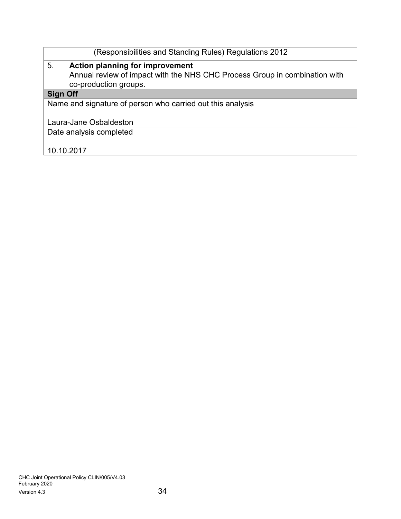|                                                            | (Responsibilities and Standing Rules) Regulations 2012                     |  |  |
|------------------------------------------------------------|----------------------------------------------------------------------------|--|--|
| 5.                                                         | <b>Action planning for improvement</b>                                     |  |  |
|                                                            | Annual review of impact with the NHS CHC Process Group in combination with |  |  |
|                                                            | co-production groups.                                                      |  |  |
| <b>Sign Off</b>                                            |                                                                            |  |  |
| Name and signature of person who carried out this analysis |                                                                            |  |  |
| Laura-Jane Osbaldeston                                     |                                                                            |  |  |
| Date analysis completed                                    |                                                                            |  |  |
|                                                            | 10.10.2017                                                                 |  |  |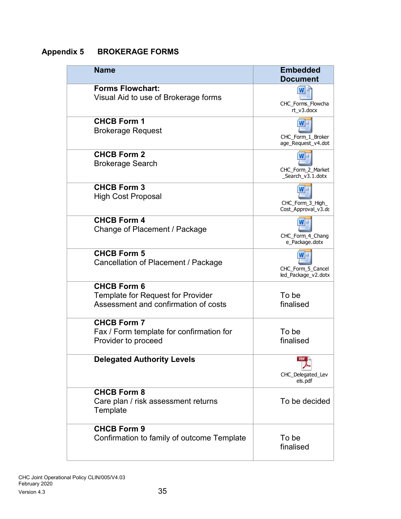# <span id="page-34-0"></span>**Appendix 5 BROKERAGE FORMS**

| <b>Name</b>                                                                                            | <b>Embedded</b><br><b>Document</b> |
|--------------------------------------------------------------------------------------------------------|------------------------------------|
| <b>Forms Flowchart:</b>                                                                                | CHC Forms Flowcha                  |
| Visual Aid to use of Brokerage forms                                                                   | rt v3.docx                         |
| <b>CHCB Form 1</b>                                                                                     | CHC Form 1 Broker                  |
| <b>Brokerage Request</b>                                                                               | age_Request_v4.dot                 |
| <b>CHCB Form 2</b>                                                                                     | CHC_Form_2_Market                  |
| <b>Brokerage Search</b>                                                                                | _Search_v3.1.dotx                  |
| <b>CHCB Form 3</b>                                                                                     | CHC_Form_3_High_                   |
| <b>High Cost Proposal</b>                                                                              | Cost Approval v3.do                |
| <b>CHCB Form 4</b>                                                                                     | CHC_Form_4_Chang                   |
| Change of Placement / Package                                                                          | e_Package.dotx                     |
| <b>CHCB Form 5</b>                                                                                     | CHC_Form_5_Cancel                  |
| Cancellation of Placement / Package                                                                    | led_Package_v2.dotx                |
| <b>CHCB Form 6</b><br><b>Template for Request for Provider</b><br>Assessment and confirmation of costs | To be<br>finalised                 |
| <b>CHCB Form 7</b><br>Fax / Form template for confirmation for<br>Provider to proceed                  | To be<br>finalised                 |
| <b>Delegated Authority Levels</b>                                                                      | CHC_Delegated_Lev<br>els.pdf       |
| <b>CHCB Form 8</b><br>Care plan / risk assessment returns<br>Template                                  | To be decided                      |
| <b>CHCB Form 9</b>                                                                                     | To be                              |
| Confirmation to family of outcome Template                                                             | finalised                          |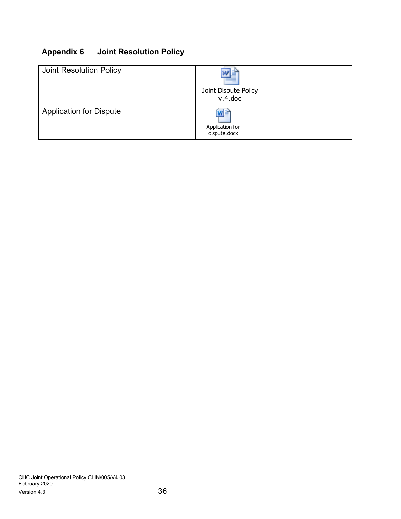# <span id="page-35-0"></span>**Appendix 6 Joint Resolution Policy**

| <b>Joint Resolution Policy</b> | Joint Dispute Policy<br>v.4.doc |
|--------------------------------|---------------------------------|
| <b>Application for Dispute</b> | Application for<br>dispute.docx |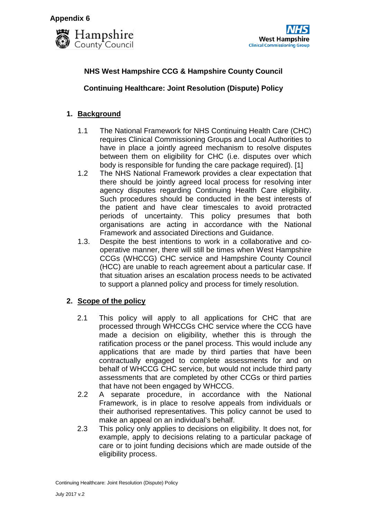

### **NHS West Hampshire CCG & Hampshire County Council**

### **Continuing Healthcare: Joint Resolution (Dispute) Policy**

#### **1. Background**

- 1.1 The National Framework for NHS Continuing Health Care (CHC) requires Clinical Commissioning Groups and Local Authorities to have in place a jointly agreed mechanism to resolve disputes between them on eligibility for CHC (i.e. disputes over which body is responsible for funding the care package required). [1]
- 1.2 The NHS National Framework provides a clear expectation that there should be jointly agreed local process for resolving inter agency disputes regarding Continuing Health Care eligibility. Such procedures should be conducted in the best interests of the patient and have clear timescales to avoid protracted periods of uncertainty. This policy presumes that both organisations are acting in accordance with the National Framework and associated Directions and Guidance.
- 1.3. Despite the best intentions to work in a collaborative and cooperative manner, there will still be times when West Hampshire CCGs (WHCCG) CHC service and Hampshire County Council (HCC) are unable to reach agreement about a particular case. If that situation arises an escalation process needs to be activated to support a planned policy and process for timely resolution.

#### **2. Scope of the policy**

- 2.1 This policy will apply to all applications for CHC that are processed through WHCCGs CHC service where the CCG have made a decision on eligibility, whether this is through the ratification process or the panel process. This would include any applications that are made by third parties that have been contractually engaged to complete assessments for and on behalf of WHCCG CHC service, but would not include third party assessments that are completed by other CCGs or third parties that have not been engaged by WHCCG.
- 2.2 A separate procedure, in accordance with the National Framework, is in place to resolve appeals from individuals or their authorised representatives. This policy cannot be used to make an appeal on an individual's behalf.
- 2.3 This policy only applies to decisions on eligibility. It does not, for example, apply to decisions relating to a particular package of care or to joint funding decisions which are made outside of the eligibility process.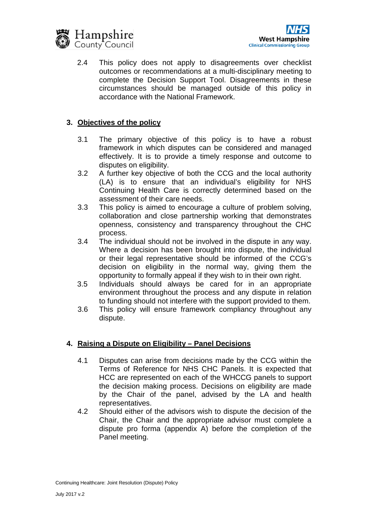

2.4 This policy does not apply to disagreements over checklist outcomes or recommendations at a multi-disciplinary meeting to complete the Decision Support Tool. Disagreements in these circumstances should be managed outside of this policy in accordance with the National Framework.

#### **3. Objectives of the policy**

- 3.1 The primary objective of this policy is to have a robust framework in which disputes can be considered and managed effectively. It is to provide a timely response and outcome to disputes on eligibility.
- 3.2 A further key objective of both the CCG and the local authority (LA) is to ensure that an individual's eligibility for NHS Continuing Health Care is correctly determined based on the assessment of their care needs.
- 3.3 This policy is aimed to encourage a culture of problem solving, collaboration and close partnership working that demonstrates openness, consistency and transparency throughout the CHC process.
- 3.4 The individual should not be involved in the dispute in any way. Where a decision has been brought into dispute, the individual or their legal representative should be informed of the CCG's decision on eligibility in the normal way, giving them the opportunity to formally appeal if they wish to in their own right.
- 3.5 Individuals should always be cared for in an appropriate environment throughout the process and any dispute in relation to funding should not interfere with the support provided to them.
- 3.6 This policy will ensure framework compliancy throughout any dispute.

#### **4. Raising a Dispute on Eligibility – Panel Decisions**

- 4.1 Disputes can arise from decisions made by the CCG within the Terms of Reference for NHS CHC Panels. It is expected that HCC are represented on each of the WHCCG panels to support the decision making process. Decisions on eligibility are made by the Chair of the panel, advised by the LA and health representatives.
- 4.2 Should either of the advisors wish to dispute the decision of the Chair, the Chair and the appropriate advisor must complete a dispute pro forma (appendix A) before the completion of the Panel meeting.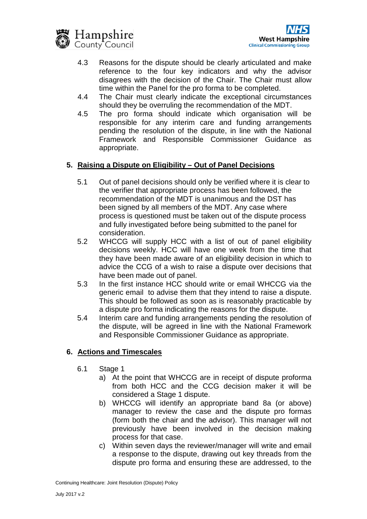

- 4.3 Reasons for the dispute should be clearly articulated and make reference to the four key indicators and why the advisor disagrees with the decision of the Chair. The Chair must allow time within the Panel for the pro forma to be completed.
- 4.4 The Chair must clearly indicate the exceptional circumstances should they be overruling the recommendation of the MDT.
- 4.5 The pro forma should indicate which organisation will be responsible for any interim care and funding arrangements pending the resolution of the dispute, in line with the National Framework and Responsible Commissioner Guidance as appropriate.

#### **5. Raising a Dispute on Eligibility – Out of Panel Decisions**

- 5.1 Out of panel decisions should only be verified where it is clear to the verifier that appropriate process has been followed, the recommendation of the MDT is unanimous and the DST has been signed by all members of the MDT. Any case where process is questioned must be taken out of the dispute process and fully investigated before being submitted to the panel for consideration.
- 5.2 WHCCG will supply HCC with a list of out of panel eligibility decisions weekly. HCC will have one week from the time that they have been made aware of an eligibility decision in which to advice the CCG of a wish to raise a dispute over decisions that have been made out of panel.
- 5.3 In the first instance HCC should write or email WHCCG via the generic email to advise them that they intend to raise a dispute. This should be followed as soon as is reasonably practicable by a dispute pro forma indicating the reasons for the dispute.
- 5.4 Interim care and funding arrangements pending the resolution of the dispute, will be agreed in line with the National Framework and Responsible Commissioner Guidance as appropriate.

#### **6. Actions and Timescales**

- 6.1 Stage 1
	- a) At the point that WHCCG are in receipt of dispute proforma from both HCC and the CCG decision maker it will be considered a Stage 1 dispute.
	- b) WHCCG will identify an appropriate band 8a (or above) manager to review the case and the dispute pro formas (form both the chair and the advisor). This manager will not previously have been involved in the decision making process for that case.
	- c) Within seven days the reviewer/manager will write and email a response to the dispute, drawing out key threads from the dispute pro forma and ensuring these are addressed, to the

Continuing Healthcare: Joint Resolution (Dispute) Policy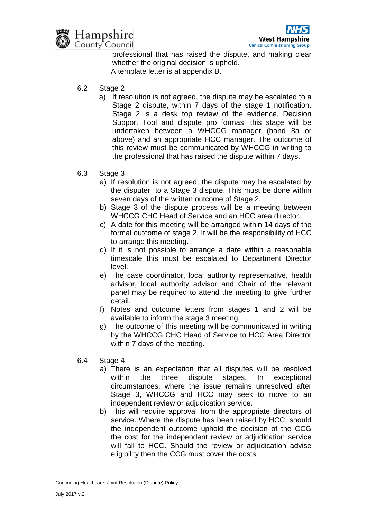



professional that has raised the dispute, and making clear whether the original decision is upheld. A template letter is at appendix B.

- 6.2 Stage 2
	- a) If resolution is not agreed, the dispute may be escalated to a Stage 2 dispute, within 7 days of the stage 1 notification. Stage 2 is a desk top review of the evidence, Decision Support Tool and dispute pro formas, this stage will be undertaken between a WHCCG manager (band 8a or above) and an appropriate HCC manager. The outcome of this review must be communicated by WHCCG in writing to the professional that has raised the dispute within 7 days.
- 6.3 Stage 3
	- a) If resolution is not agreed, the dispute may be escalated by the disputer to a Stage 3 dispute. This must be done within seven days of the written outcome of Stage 2.
	- b) Stage 3 of the dispute process will be a meeting between WHCCG CHC Head of Service and an HCC area director.
	- c) A date for this meeting will be arranged within 14 days of the formal outcome of stage 2. It will be the responsibility of HCC to arrange this meeting.
	- d) If it is not possible to arrange a date within a reasonable timescale this must be escalated to Department Director level.
	- e) The case coordinator, local authority representative, health advisor, local authority advisor and Chair of the relevant panel may be required to attend the meeting to give further detail.
	- f) Notes and outcome letters from stages 1 and 2 will be available to inform the stage 3 meeting.
	- g) The outcome of this meeting will be communicated in writing by the WHCCG CHC Head of Service to HCC Area Director within 7 days of the meeting.
- 6.4 Stage 4
	- a) There is an expectation that all disputes will be resolved within the three dispute stages. In exceptional circumstances, where the issue remains unresolved after Stage 3, WHCCG and HCC may seek to move to an independent review or adjudication service.
	- b) This will require approval from the appropriate directors of service. Where the dispute has been raised by HCC, should the independent outcome uphold the decision of the CCG the cost for the independent review or adjudication service will fall to HCC. Should the review or adjudication advise eligibility then the CCG must cover the costs.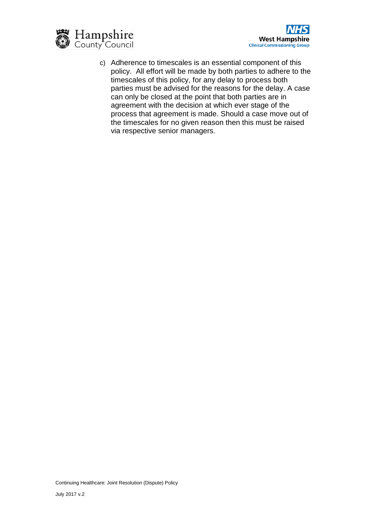



c) Adherence to timescales is an essential component of this policy. All effort will be made by both parties to adhere to the timescales of this policy, for any delay to process both parties must be advised for the reasons for the delay. A case can only be closed at the point that both parties are in agreement with the decision at which ever stage of the process that agreement is made. Should a case move out of the timescales for no given reason then this must be raised via respective senior managers.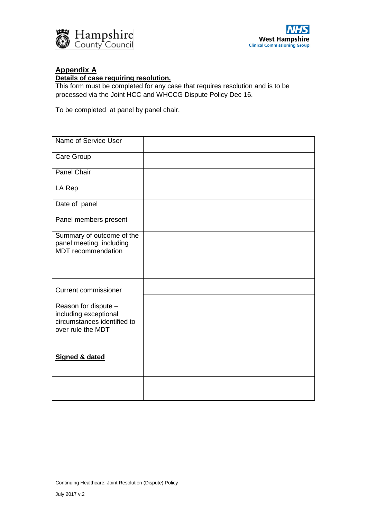

### **Appendix A**

#### **Details of case requiring resolution.**

This form must be completed for any case that requires resolution and is to be processed via the Joint HCC and WHCCG Dispute Policy Dec 16.

To be completed at panel by panel chair.

| Name of Service User                                                                              |  |
|---------------------------------------------------------------------------------------------------|--|
| Care Group                                                                                        |  |
| <b>Panel Chair</b>                                                                                |  |
| LA Rep                                                                                            |  |
| Date of panel                                                                                     |  |
| Panel members present                                                                             |  |
| Summary of outcome of the<br>panel meeting, including<br><b>MDT</b> recommendation                |  |
| <b>Current commissioner</b>                                                                       |  |
| Reason for dispute -<br>including exceptional<br>circumstances identified to<br>over rule the MDT |  |
| Signed & dated                                                                                    |  |
|                                                                                                   |  |